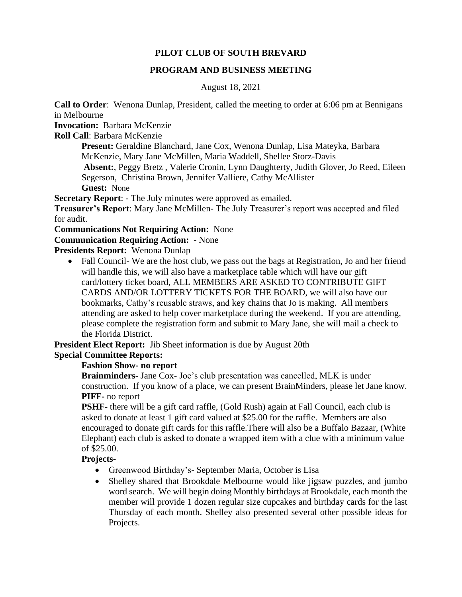## **PILOT CLUB OF SOUTH BREVARD**

### **PROGRAM AND BUSINESS MEETING**

August 18, 2021

**Call to Order**: Wenona Dunlap, President, called the meeting to order at 6:06 pm at Bennigans in Melbourne

**Invocation:** Barbara McKenzie

**Roll Call**: Barbara McKenzie

**Present:** Geraldine Blanchard, Jane Cox, Wenona Dunlap, Lisa Mateyka, Barbara McKenzie, Mary Jane McMillen, Maria Waddell, Shellee Storz-Davis

**Absent:**, Peggy Bretz , Valerie Cronin, Lynn Daughterty, Judith Glover, Jo Reed, Eileen Segerson, Christina Brown, Jennifer Valliere, Cathy McAllister **Guest:** None

**Secretary Report**: - The July minutes were approved as emailed.

**Treasurer's Report**: Mary Jane McMillen- The July Treasurer's report was accepted and filed for audit.

**Communications Not Requiring Action:** None

## **Communication Requiring Action:** - None

**Presidents Report:** Wenona Dunlap

• Fall Council- We are the host club, we pass out the bags at Registration, Jo and her friend will handle this, we will also have a marketplace table which will have our gift card/lottery ticket board, ALL MEMBERS ARE ASKED TO CONTRIBUTE GIFT CARDS AND/OR LOTTERY TICKETS FOR THE BOARD, we will also have our bookmarks, Cathy's reusable straws, and key chains that Jo is making. All members attending are asked to help cover marketplace during the weekend. If you are attending, please complete the registration form and submit to Mary Jane, she will mail a check to the Florida District.

**President Elect Report:** Jib Sheet information is due by August 20th **Special Committee Reports:** 

## **Fashion Show- no report**

**Brainminders-** Jane Cox- Joe's club presentation was cancelled, MLK is under construction. If you know of a place, we can present BrainMinders, please let Jane know. **PIFF-** no report

**PSHF-** there will be a gift card raffle, (Gold Rush) again at Fall Council, each club is asked to donate at least 1 gift card valued at \$25.00 for the raffle. Members are also encouraged to donate gift cards for this raffle.There will also be a Buffalo Bazaar, (White Elephant) each club is asked to donate a wrapped item with a clue with a minimum value of \$25.00.

#### **Projects-**

- Greenwood Birthday's- September Maria, October is Lisa
- Shelley shared that Brookdale Melbourne would like jigsaw puzzles, and jumbo word search. We will begin doing Monthly birthdays at Brookdale, each month the member will provide 1 dozen regular size cupcakes and birthday cards for the last Thursday of each month. Shelley also presented several other possible ideas for Projects.